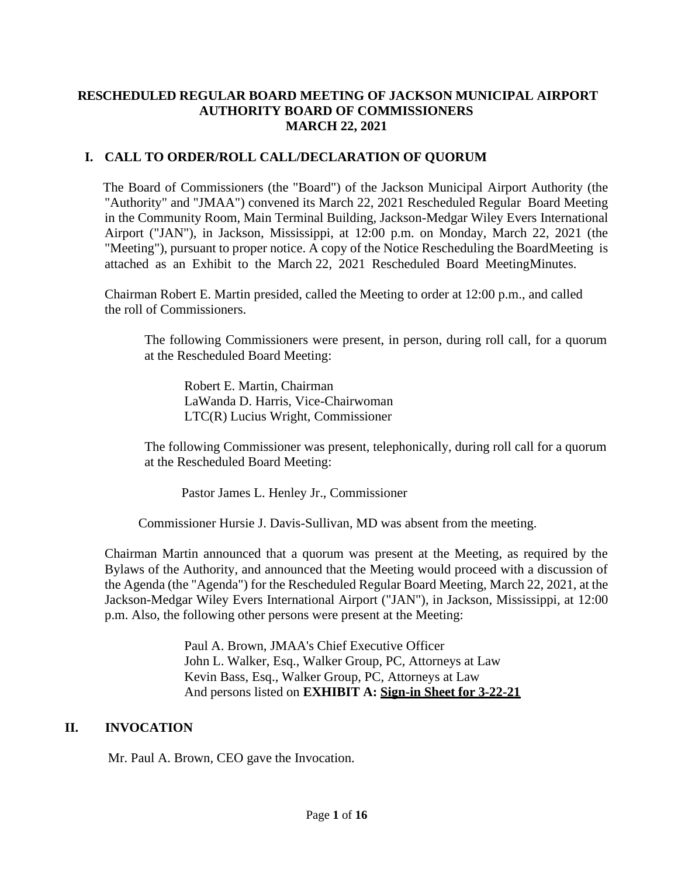### **RESCHEDULED REGULAR BOARD MEETING OF JACKSON MUNICIPAL AIRPORT AUTHORITY BOARD OF COMMISSIONERS MARCH 22, 2021**

## **I. CALL TO ORDER/ROLL CALL/DECLARATION OF QUORUM**

The Board of Commissioners (the "Board") of the Jackson Municipal Airport Authority (the "Authority" and "JMAA") convened its March 22, 2021 Rescheduled Regular Board Meeting in the Community Room, Main Terminal Building, Jackson-Medgar Wiley Evers International Airport ("JAN"), in Jackson, Mississippi, at 12:00 p.m. on Monday, March 22, 2021 (the "Meeting"), pursuant to proper notice. A copy of the Notice Rescheduling the BoardMeeting is attached as an Exhibit to the March 22, 2021 Rescheduled Board MeetingMinutes.

Chairman Robert E. Martin presided, called the Meeting to order at 12:00 p.m., and called the roll of Commissioners.

The following Commissioners were present, in person, during roll call, for a quorum at the Rescheduled Board Meeting:

Robert E. Martin, Chairman LaWanda D. Harris, Vice-Chairwoman LTC(R) Lucius Wright, Commissioner

The following Commissioner was present, telephonically, during roll call for a quorum at the Rescheduled Board Meeting:

Pastor James L. Henley Jr., Commissioner

Commissioner Hursie J. Davis-Sullivan, MD was absent from the meeting.

Chairman Martin announced that a quorum was present at the Meeting, as required by the Bylaws of the Authority, and announced that the Meeting would proceed with a discussion of the Agenda (the "Agenda") for the Rescheduled Regular Board Meeting, March 22, 2021, at the Jackson-Medgar Wiley Evers International Airport ("JAN"), in Jackson, Mississippi, at 12:00 p.m. Also, the following other persons were present at the Meeting:

> Paul A. Brown, JMAA's Chief Executive Officer John L. Walker, Esq., Walker Group, PC, Attorneys at Law Kevin Bass, Esq., Walker Group, PC, Attorneys at Law And persons listed on **EXHIBIT A: Sign-in Sheet for 3-22-21**

### **II. INVOCATION**

Mr. Paul A. Brown, CEO gave the Invocation.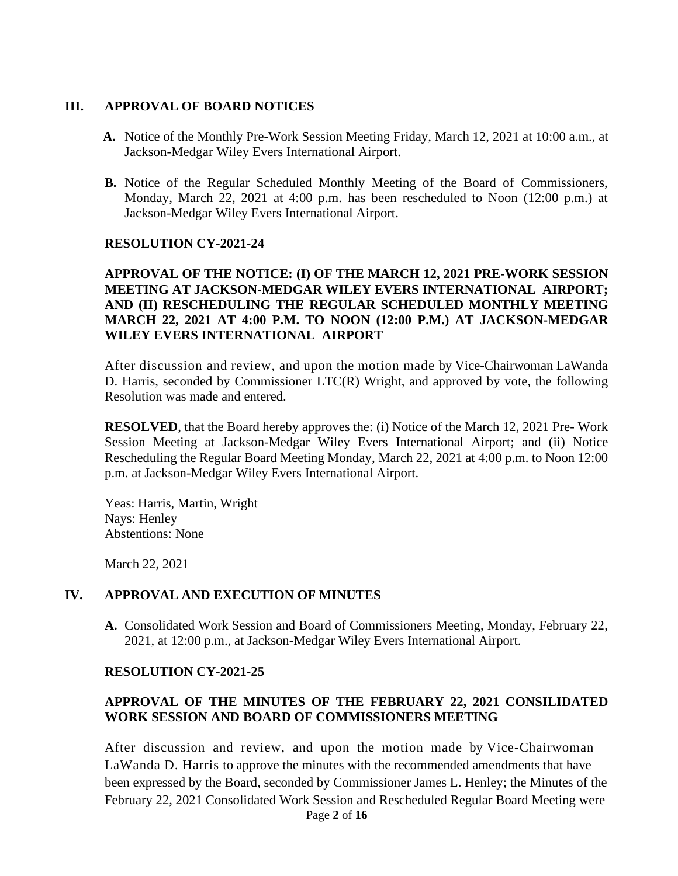### **III. APPROVAL OF BOARD NOTICES**

- **A.** Notice of the Monthly Pre-Work Session Meeting Friday, March 12, 2021 at 10:00 a.m., at Jackson-Medgar Wiley Evers International Airport.
- **B.** Notice of the Regular Scheduled Monthly Meeting of the Board of Commissioners, Monday, March 22, 2021 at 4:00 p.m. has been rescheduled to Noon (12:00 p.m.) at Jackson-Medgar Wiley Evers International Airport.

#### **RESOLUTION CY-2021-24**

### **APPROVAL OF THE NOTICE: (I) OF THE MARCH 12, 2021 PRE-WORK SESSION MEETING AT JACKSON-MEDGAR WILEY EVERS INTERNATIONAL AIRPORT; AND (II) RESCHEDULING THE REGULAR SCHEDULED MONTHLY MEETING MARCH 22, 2021 AT 4:00 P.M. TO NOON (12:00 P.M.) AT JACKSON-MEDGAR WILEY EVERS INTERNATIONAL AIRPORT**

After discussion and review, and upon the motion made by Vice-Chairwoman LaWanda D. Harris, seconded by Commissioner LTC(R) Wright, and approved by vote, the following Resolution was made and entered.

**RESOLVED**, that the Board hereby approves the: (i) Notice of the March 12, 2021 Pre- Work Session Meeting at Jackson-Medgar Wiley Evers International Airport; and (ii) Notice Rescheduling the Regular Board Meeting Monday, March 22, 2021 at 4:00 p.m. to Noon 12:00 p.m. at Jackson-Medgar Wiley Evers International Airport.

Yeas: Harris, Martin, Wright Nays: Henley Abstentions: None

March 22, 2021

#### **IV. APPROVAL AND EXECUTION OF MINUTES**

**A.** Consolidated Work Session and Board of Commissioners Meeting, Monday, February 22, 2021, at 12:00 p.m., at Jackson-Medgar Wiley Evers International Airport.

#### **RESOLUTION CY-2021-25**

## **APPROVAL OF THE MINUTES OF THE FEBRUARY 22, 2021 CONSILIDATED WORK SESSION AND BOARD OF COMMISSIONERS MEETING**

Page **2** of **16** After discussion and review, and upon the motion made by Vice-Chairwoman LaWanda D. Harris to approve the minutes with the recommended amendments that have been expressed by the Board, seconded by Commissioner James L. Henley; the Minutes of the February 22, 2021 Consolidated Work Session and Rescheduled Regular Board Meeting were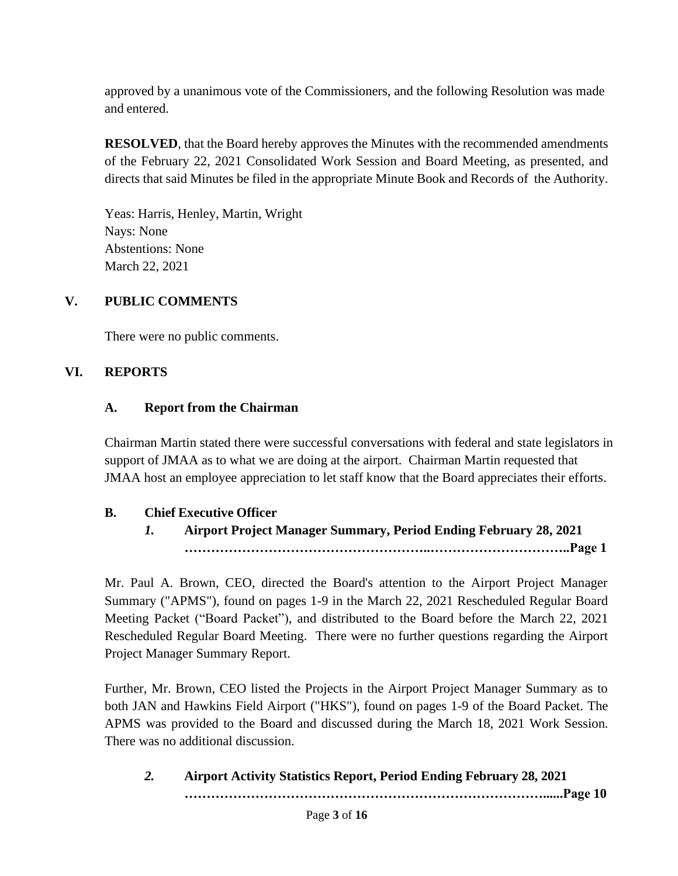approved by a unanimous vote of the Commissioners, and the following Resolution was made and entered.

**RESOLVED**, that the Board hereby approves the Minutes with the recommended amendments of the February 22, 2021 Consolidated Work Session and Board Meeting, as presented, and directs that said Minutes be filed in the appropriate Minute Book and Records of the Authority.

Yeas: Harris, Henley, Martin, Wright Nays: None Abstentions: None March 22, 2021

## **V. PUBLIC COMMENTS**

There were no public comments.

### **VI. REPORTS**

### **A. Report from the Chairman**

Chairman Martin stated there were successful conversations with federal and state legislators in support of JMAA as to what we are doing at the airport. Chairman Martin requested that JMAA host an employee appreciation to let staff know that the Board appreciates their efforts.

### **B. Chief Executive Officer**

*1.* **Airport Project Manager Summary, Period Ending February 28, 2021 ………………………………………………..…………………………..Page 1**

Mr. Paul A. Brown, CEO, directed the Board's attention to the Airport Project Manager Summary ("APMS"), found on pages 1-9 in the March 22, 2021 Rescheduled Regular Board Meeting Packet ("Board Packet"), and distributed to the Board before the March 22, 2021 Rescheduled Regular Board Meeting. There were no further questions regarding the Airport Project Manager Summary Report.

Further, Mr. Brown, CEO listed the Projects in the Airport Project Manager Summary as to both JAN and Hawkins Field Airport ("HKS"), found on pages 1-9 of the Board Packet. The APMS was provided to the Board and discussed during the March 18, 2021 Work Session. There was no additional discussion.

*2.* **Airport Activity Statistics Report, Period Ending February 28, 2021 ………………………………………………………………………......Page 10**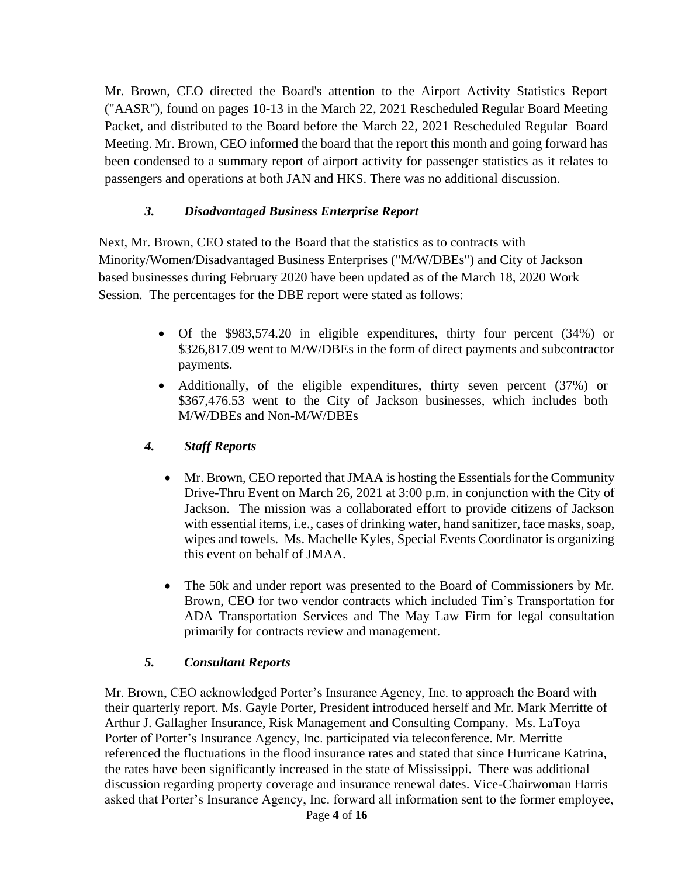Mr. Brown, CEO directed the Board's attention to the Airport Activity Statistics Report ("AASR"), found on pages 10-13 in the March 22, 2021 Rescheduled Regular Board Meeting Packet, and distributed to the Board before the March 22, 2021 Rescheduled Regular Board Meeting. Mr. Brown, CEO informed the board that the report this month and going forward has been condensed to a summary report of airport activity for passenger statistics as it relates to passengers and operations at both JAN and HKS. There was no additional discussion.

### *3. Disadvantaged Business Enterprise Report*

Next, Mr. Brown, CEO stated to the Board that the statistics as to contracts with Minority/Women/Disadvantaged Business Enterprises ("M/W/DBEs") and City of Jackson based businesses during February 2020 have been updated as of the March 18, 2020 Work Session. The percentages for the DBE report were stated as follows:

- Of the \$983,574.20 in eligible expenditures, thirty four percent (34%) or \$326,817.09 went to M/W/DBEs in the form of direct payments and subcontractor payments.
- Additionally, of the eligible expenditures, thirty seven percent (37%) or \$367,476.53 went to the City of Jackson businesses, which includes both M/W/DBEs and Non-M/W/DBEs
- *4. Staff Reports*
	- Mr. Brown, CEO reported that JMAA is hosting the Essentials for the Community Drive-Thru Event on March 26, 2021 at 3:00 p.m. in conjunction with the City of Jackson. The mission was a collaborated effort to provide citizens of Jackson with essential items, i.e., cases of drinking water, hand sanitizer, face masks, soap, wipes and towels. Ms. Machelle Kyles, Special Events Coordinator is organizing this event on behalf of JMAA.
	- The 50k and under report was presented to the Board of Commissioners by Mr. Brown, CEO for two vendor contracts which included Tim's Transportation for ADA Transportation Services and The May Law Firm for legal consultation primarily for contracts review and management.

### *5. Consultant Reports*

Page **4** of **16** Mr. Brown, CEO acknowledged Porter's Insurance Agency, Inc. to approach the Board with their quarterly report. Ms. Gayle Porter, President introduced herself and Mr. Mark Merritte of Arthur J. Gallagher Insurance, Risk Management and Consulting Company. Ms. LaToya Porter of Porter's Insurance Agency, Inc. participated via teleconference. Mr. Merritte referenced the fluctuations in the flood insurance rates and stated that since Hurricane Katrina, the rates have been significantly increased in the state of Mississippi. There was additional discussion regarding property coverage and insurance renewal dates. Vice-Chairwoman Harris asked that Porter's Insurance Agency, Inc. forward all information sent to the former employee,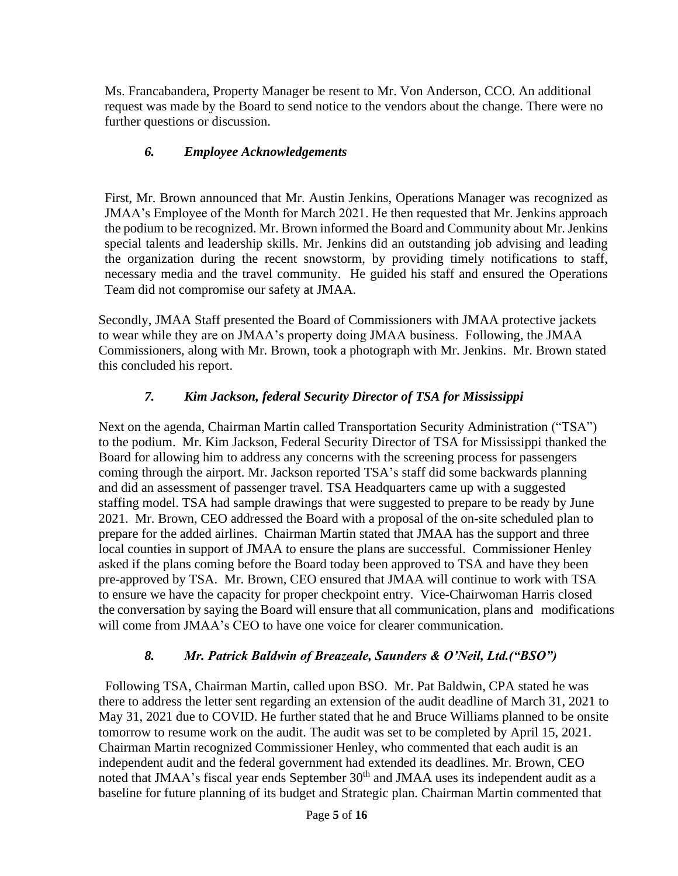Ms. Francabandera, Property Manager be resent to Mr. Von Anderson, CCO. An additional request was made by the Board to send notice to the vendors about the change. There were no further questions or discussion.

## *6. Employee Acknowledgements*

First, Mr. Brown announced that Mr. Austin Jenkins, Operations Manager was recognized as JMAA's Employee of the Month for March 2021. He then requested that Mr. Jenkins approach the podium to be recognized. Mr. Brown informed the Board and Community about Mr. Jenkins special talents and leadership skills. Mr. Jenkins did an outstanding job advising and leading the organization during the recent snowstorm, by providing timely notifications to staff, necessary media and the travel community. He guided his staff and ensured the Operations Team did not compromise our safety at JMAA.

Secondly, JMAA Staff presented the Board of Commissioners with JMAA protective jackets to wear while they are on JMAA's property doing JMAA business. Following, the JMAA Commissioners, along with Mr. Brown, took a photograph with Mr. Jenkins. Mr. Brown stated this concluded his report.

# *7. Kim Jackson, federal Security Director of TSA for Mississippi*

Next on the agenda, Chairman Martin called Transportation Security Administration ("TSA") to the podium. Mr. Kim Jackson, Federal Security Director of TSA for Mississippi thanked the Board for allowing him to address any concerns with the screening process for passengers coming through the airport. Mr. Jackson reported TSA's staff did some backwards planning and did an assessment of passenger travel. TSA Headquarters came up with a suggested staffing model. TSA had sample drawings that were suggested to prepare to be ready by June 2021. Mr. Brown, CEO addressed the Board with a proposal of the on-site scheduled plan to prepare for the added airlines. Chairman Martin stated that JMAA has the support and three local counties in support of JMAA to ensure the plans are successful. Commissioner Henley asked if the plans coming before the Board today been approved to TSA and have they been pre-approved by TSA. Mr. Brown, CEO ensured that JMAA will continue to work with TSA to ensure we have the capacity for proper checkpoint entry. Vice-Chairwoman Harris closed the conversation by saying the Board will ensure that all communication, plans and modifications will come from JMAA's CEO to have one voice for clearer communication.

### *8. Mr. Patrick Baldwin of Breazeale, Saunders & O'Neil, Ltd.("BSO")*

 Following TSA, Chairman Martin, called upon BSO. Mr. Pat Baldwin, CPA stated he was there to address the letter sent regarding an extension of the audit deadline of March 31, 2021 to May 31, 2021 due to COVID. He further stated that he and Bruce Williams planned to be onsite tomorrow to resume work on the audit. The audit was set to be completed by April 15, 2021. Chairman Martin recognized Commissioner Henley, who commented that each audit is an independent audit and the federal government had extended its deadlines. Mr. Brown, CEO noted that JMAA's fiscal year ends September 30<sup>th</sup> and JMAA uses its independent audit as a baseline for future planning of its budget and Strategic plan. Chairman Martin commented that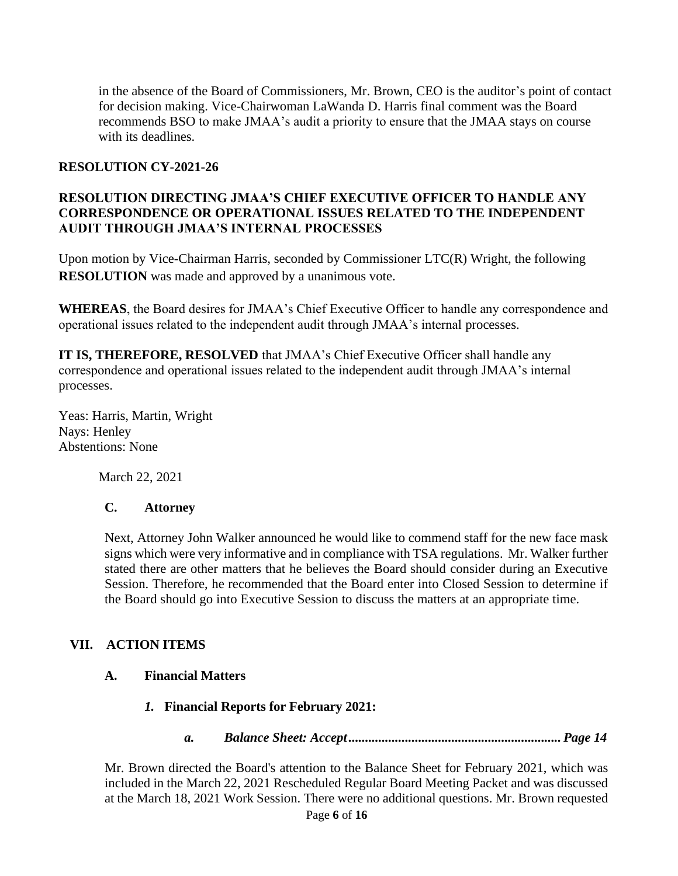in the absence of the Board of Commissioners, Mr. Brown, CEO is the auditor's point of contact for decision making. Vice-Chairwoman LaWanda D. Harris final comment was the Board recommends BSO to make JMAA's audit a priority to ensure that the JMAA stays on course with its deadlines.

#### **RESOLUTION CY-2021-26**

### **RESOLUTION DIRECTING JMAA'S CHIEF EXECUTIVE OFFICER TO HANDLE ANY CORRESPONDENCE OR OPERATIONAL ISSUES RELATED TO THE INDEPENDENT AUDIT THROUGH JMAA'S INTERNAL PROCESSES**

Upon motion by Vice-Chairman Harris, seconded by Commissioner LTC(R) Wright, the following **RESOLUTION** was made and approved by a unanimous vote.

**WHEREAS**, the Board desires for JMAA's Chief Executive Officer to handle any correspondence and operational issues related to the independent audit through JMAA's internal processes.

**IT IS, THEREFORE, RESOLVED** that JMAA's Chief Executive Officer shall handle any correspondence and operational issues related to the independent audit through JMAA's internal processes.

Yeas: Harris, Martin, Wright Nays: Henley Abstentions: None

March 22, 2021

### **C. Attorney**

Next, Attorney John Walker announced he would like to commend staff for the new face mask signs which were very informative and in compliance with TSA regulations. Mr. Walker further stated there are other matters that he believes the Board should consider during an Executive Session. Therefore, he recommended that the Board enter into Closed Session to determine if the Board should go into Executive Session to discuss the matters at an appropriate time.

### **VII. ACTION ITEMS**

### **A. Financial Matters**

- *1.* **Financial Reports for February 2021:**
	- *a. Balance Sheet: Accept................................................................ Page 14*

Mr. Brown directed the Board's attention to the Balance Sheet for February 2021, which was included in the March 22, 2021 Rescheduled Regular Board Meeting Packet and was discussed at the March 18, 2021 Work Session. There were no additional questions. Mr. Brown requested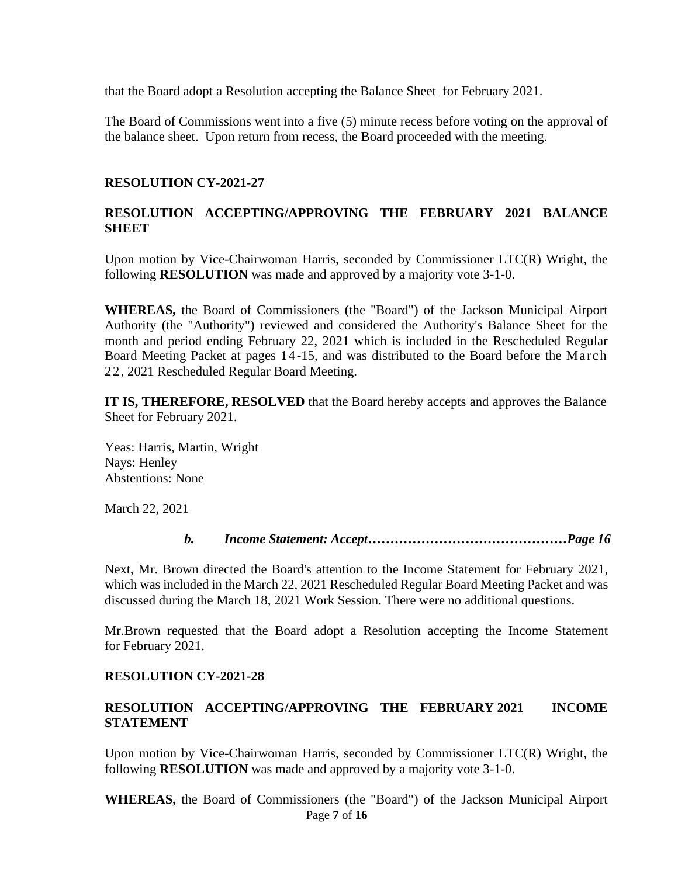that the Board adopt a Resolution accepting the Balance Sheet for February 2021.

The Board of Commissions went into a five (5) minute recess before voting on the approval of the balance sheet. Upon return from recess, the Board proceeded with the meeting.

#### **RESOLUTION CY-2021-27**

### **RESOLUTION ACCEPTING/APPROVING THE FEBRUARY 2021 BALANCE SHEET**

Upon motion by Vice-Chairwoman Harris, seconded by Commissioner LTC(R) Wright, the following **RESOLUTION** was made and approved by a majority vote 3-1-0.

**WHEREAS,** the Board of Commissioners (the "Board") of the Jackson Municipal Airport Authority (the "Authority") reviewed and considered the Authority's Balance Sheet for the month and period ending February 22, 2021 which is included in the Rescheduled Regular Board Meeting Packet at pages 14-15, and was distributed to the Board before the March 22, 2021 Rescheduled Regular Board Meeting.

**IT IS, THEREFORE, RESOLVED** that the Board hereby accepts and approves the Balance Sheet for February 2021.

Yeas: Harris, Martin, Wright Nays: Henley Abstentions: None

March 22, 2021

*b. Income Statement: Accept………………………………………Page 16*

Next, Mr. Brown directed the Board's attention to the Income Statement for February 2021, which was included in the March 22, 2021 Rescheduled Regular Board Meeting Packet and was discussed during the March 18, 2021 Work Session. There were no additional questions.

Mr.Brown requested that the Board adopt a Resolution accepting the Income Statement for February 2021.

### **RESOLUTION CY-2021-28**

### **RESOLUTION ACCEPTING/APPROVING THE FEBRUARY 2021 INCOME STATEMENT**

Upon motion by Vice-Chairwoman Harris, seconded by Commissioner LTC(R) Wright, the following **RESOLUTION** was made and approved by a majority vote 3-1-0.

Page **7** of **16 WHEREAS,** the Board of Commissioners (the "Board") of the Jackson Municipal Airport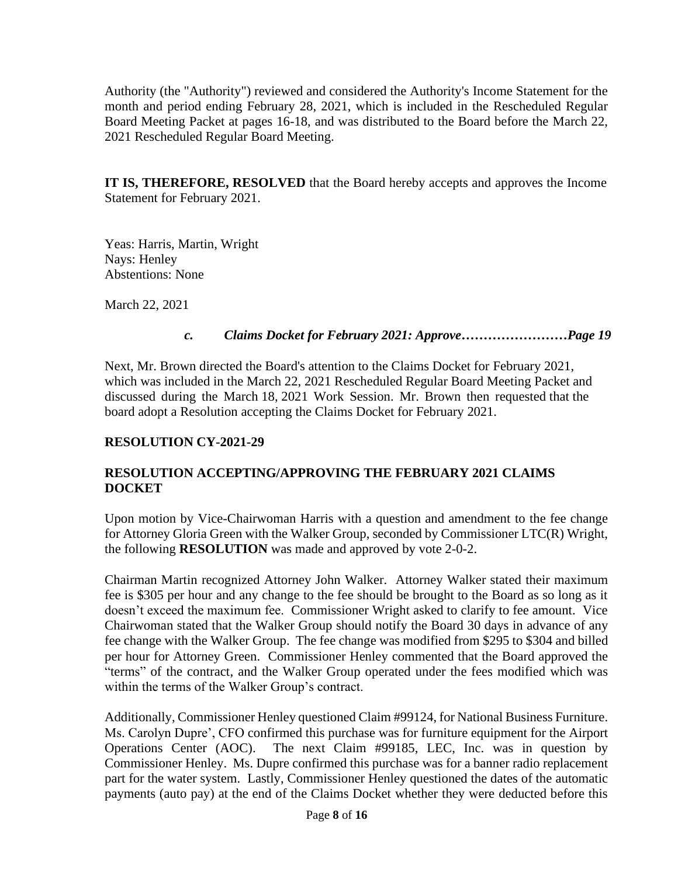Authority (the "Authority") reviewed and considered the Authority's Income Statement for the month and period ending February 28, 2021, which is included in the Rescheduled Regular Board Meeting Packet at pages 16-18, and was distributed to the Board before the March 22, 2021 Rescheduled Regular Board Meeting.

**IT IS, THEREFORE, RESOLVED** that the Board hereby accepts and approves the Income Statement for February 2021.

Yeas: Harris, Martin, Wright Nays: Henley Abstentions: None

March 22, 2021

#### *c. Claims Docket for February 2021: Approve……………………Page 19*

Next, Mr. Brown directed the Board's attention to the Claims Docket for February 2021, which was included in the March 22, 2021 Rescheduled Regular Board Meeting Packet and discussed during the March 18, 2021 Work Session. Mr. Brown then requested that the board adopt a Resolution accepting the Claims Docket for February 2021.

### **RESOLUTION CY-2021-29**

## **RESOLUTION ACCEPTING/APPROVING THE FEBRUARY 2021 CLAIMS DOCKET**

Upon motion by Vice-Chairwoman Harris with a question and amendment to the fee change for Attorney Gloria Green with the Walker Group, seconded by Commissioner LTC(R) Wright, the following **RESOLUTION** was made and approved by vote 2-0-2.

Chairman Martin recognized Attorney John Walker. Attorney Walker stated their maximum fee is \$305 per hour and any change to the fee should be brought to the Board as so long as it doesn't exceed the maximum fee. Commissioner Wright asked to clarify to fee amount. Vice Chairwoman stated that the Walker Group should notify the Board 30 days in advance of any fee change with the Walker Group. The fee change was modified from \$295 to \$304 and billed per hour for Attorney Green. Commissioner Henley commented that the Board approved the "terms" of the contract, and the Walker Group operated under the fees modified which was within the terms of the Walker Group's contract.

Additionally, Commissioner Henley questioned Claim #99124, for National Business Furniture. Ms. Carolyn Dupre', CFO confirmed this purchase was for furniture equipment for the Airport Operations Center (AOC). The next Claim #99185, LEC, Inc. was in question by Commissioner Henley. Ms. Dupre confirmed this purchase was for a banner radio replacement part for the water system. Lastly, Commissioner Henley questioned the dates of the automatic payments (auto pay) at the end of the Claims Docket whether they were deducted before this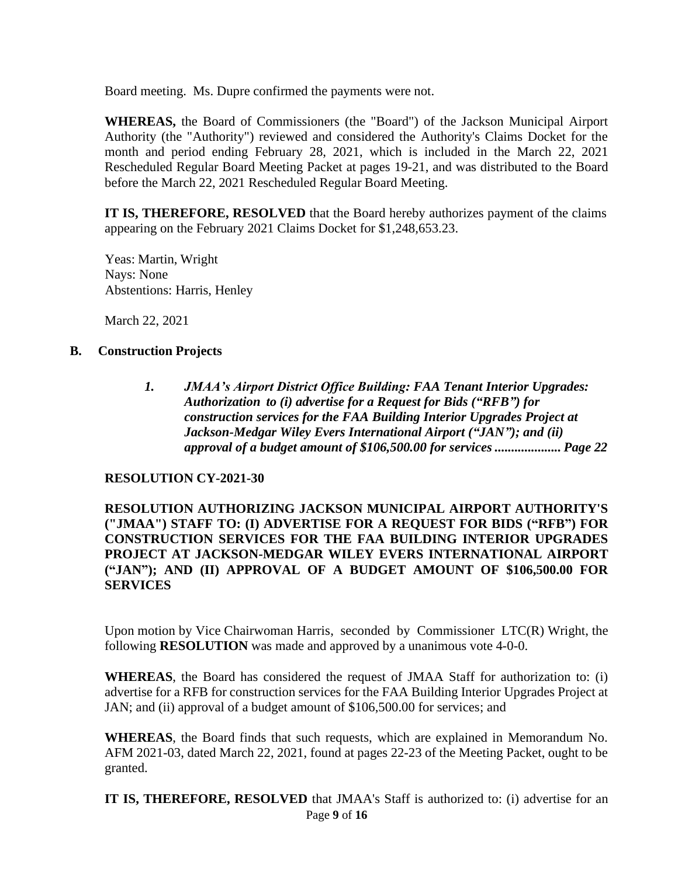Board meeting. Ms. Dupre confirmed the payments were not.

**WHEREAS,** the Board of Commissioners (the "Board") of the Jackson Municipal Airport Authority (the "Authority") reviewed and considered the Authority's Claims Docket for the month and period ending February 28, 2021, which is included in the March 22, 2021 Rescheduled Regular Board Meeting Packet at pages 19-21, and was distributed to the Board before the March 22, 2021 Rescheduled Regular Board Meeting.

**IT IS, THEREFORE, RESOLVED** that the Board hereby authorizes payment of the claims appearing on the February 2021 Claims Docket for \$1,248,653.23.

Yeas: Martin, Wright Nays: None Abstentions: Harris, Henley

March 22, 2021

### **B. Construction Projects**

*1. JMAA's Airport District Office Building: FAA Tenant Interior Upgrades: Authorization to (i) advertise for a Request for Bids ("RFB") for construction services for the FAA Building Interior Upgrades Project at Jackson-Medgar Wiley Evers International Airport ("JAN"); and (ii) approval of a budget amount of \$106,500.00 for services .................... Page 22*

#### **RESOLUTION CY-2021-30**

**RESOLUTION AUTHORIZING JACKSON MUNICIPAL AIRPORT AUTHORITY'S ("JMAA") STAFF TO: (I) ADVERTISE FOR A REQUEST FOR BIDS ("RFB") FOR CONSTRUCTION SERVICES FOR THE FAA BUILDING INTERIOR UPGRADES PROJECT AT JACKSON-MEDGAR WILEY EVERS INTERNATIONAL AIRPORT ("JAN"); AND (II) APPROVAL OF A BUDGET AMOUNT OF \$106,500.00 FOR SERVICES**

Upon motion by Vice Chairwoman Harris, seconded by Commissioner LTC(R) Wright, the following **RESOLUTION** was made and approved by a unanimous vote 4-0-0.

**WHEREAS**, the Board has considered the request of JMAA Staff for authorization to: (i) advertise for a RFB for construction services for the FAA Building Interior Upgrades Project at JAN; and (ii) approval of a budget amount of \$106,500.00 for services; and

**WHEREAS**, the Board finds that such requests, which are explained in Memorandum No. AFM 2021-03, dated March 22, 2021, found at pages 22-23 of the Meeting Packet, ought to be granted.

Page **9** of **16 IT IS, THEREFORE, RESOLVED** that JMAA's Staff is authorized to: (i) advertise for an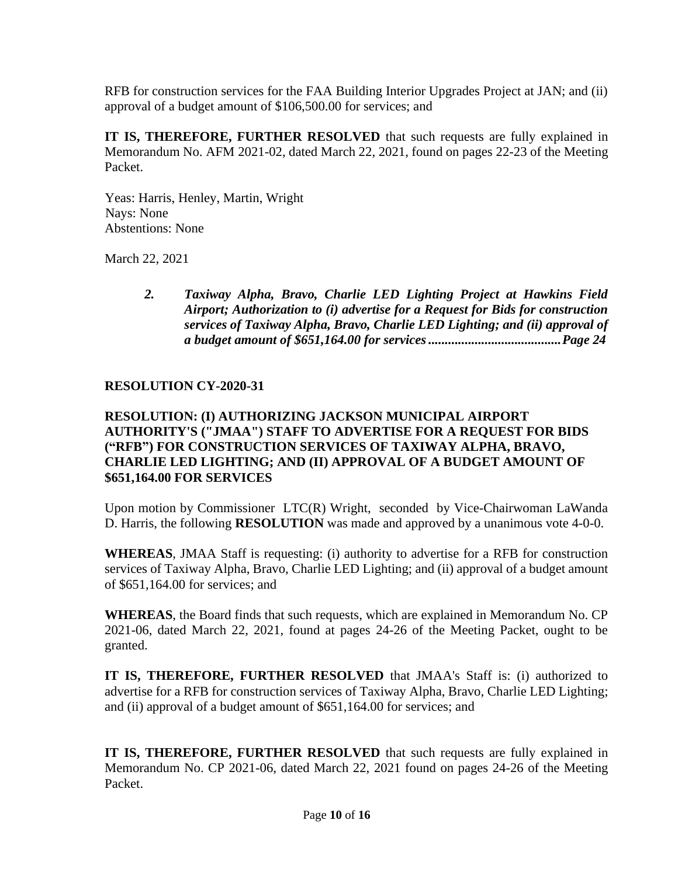RFB for construction services for the FAA Building Interior Upgrades Project at JAN; and (ii) approval of a budget amount of \$106,500.00 for services; and

**IT IS, THEREFORE, FURTHER RESOLVED** that such requests are fully explained in Memorandum No. AFM 2021-02, dated March 22, 2021, found on pages 22-23 of the Meeting Packet.

Yeas: Harris, Henley, Martin, Wright Nays: None Abstentions: None

March 22, 2021

*2. Taxiway Alpha, Bravo, Charlie LED Lighting Project at Hawkins Field Airport; Authorization to (i) advertise for a Request for Bids for construction services of Taxiway Alpha, Bravo, Charlie LED Lighting; and (ii) approval of a budget amount of \$651,164.00 for services........................................Page 24*

### **RESOLUTION CY-2020-31**

### **RESOLUTION: (I) AUTHORIZING JACKSON MUNICIPAL AIRPORT AUTHORITY'S ("JMAA") STAFF TO ADVERTISE FOR A REQUEST FOR BIDS ("RFB") FOR CONSTRUCTION SERVICES OF TAXIWAY ALPHA, BRAVO, CHARLIE LED LIGHTING; AND (II) APPROVAL OF A BUDGET AMOUNT OF \$651,164.00 FOR SERVICES**

Upon motion by Commissioner LTC(R) Wright, seconded by Vice-Chairwoman LaWanda D. Harris, the following **RESOLUTION** was made and approved by a unanimous vote 4-0-0.

**WHEREAS**, JMAA Staff is requesting: (i) authority to advertise for a RFB for construction services of Taxiway Alpha, Bravo, Charlie LED Lighting; and (ii) approval of a budget amount of \$651,164.00 for services; and

**WHEREAS**, the Board finds that such requests, which are explained in Memorandum No. CP 2021-06, dated March 22, 2021, found at pages 24-26 of the Meeting Packet, ought to be granted.

**IT IS, THEREFORE, FURTHER RESOLVED** that JMAA's Staff is: (i) authorized to advertise for a RFB for construction services of Taxiway Alpha, Bravo, Charlie LED Lighting; and (ii) approval of a budget amount of \$651,164.00 for services; and

**IT IS, THEREFORE, FURTHER RESOLVED** that such requests are fully explained in Memorandum No. CP 2021-06, dated March 22, 2021 found on pages 24-26 of the Meeting Packet.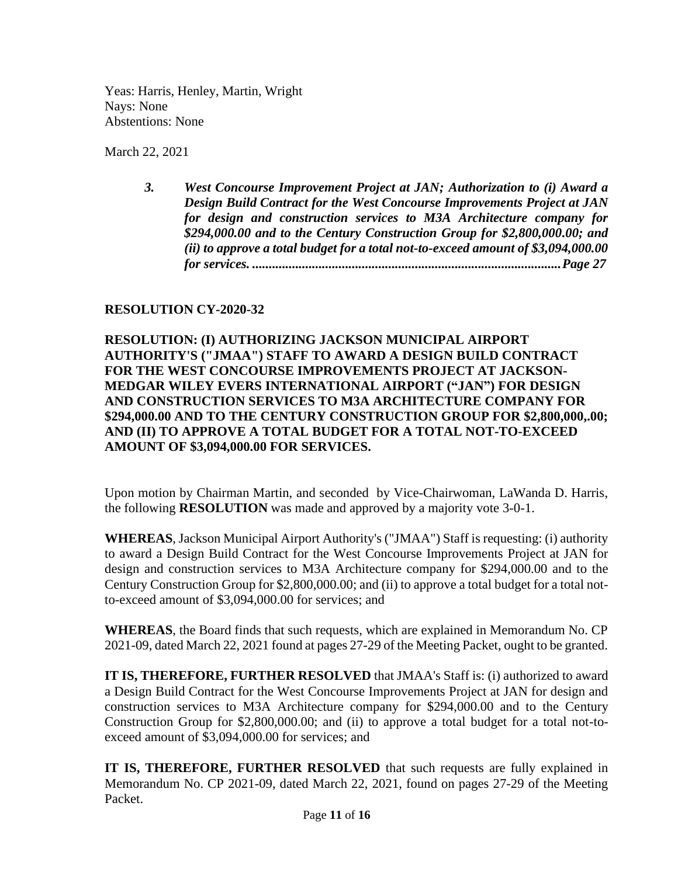Yeas: Harris, Henley, Martin, Wright Nays: None Abstentions: None

March 22, 2021

*3. West Concourse Improvement Project at JAN; Authorization to (i) Award a Design Build Contract for the West Concourse Improvements Project at JAN for design and construction services to M3A Architecture company for \$294,000.00 and to the Century Construction Group for \$2,800,000.00; and (ii) to approve a total budget for a total not-to-exceed amount of \$3,094,000.00 for services. .............................................................................................Page 27*

### **RESOLUTION CY-2020-32**

### **RESOLUTION: (I) AUTHORIZING JACKSON MUNICIPAL AIRPORT AUTHORITY'S ("JMAA") STAFF TO AWARD A DESIGN BUILD CONTRACT FOR THE WEST CONCOURSE IMPROVEMENTS PROJECT AT JACKSON-MEDGAR WILEY EVERS INTERNATIONAL AIRPORT ("JAN") FOR DESIGN AND CONSTRUCTION SERVICES TO M3A ARCHITECTURE COMPANY FOR \$294,000.00 AND TO THE CENTURY CONSTRUCTION GROUP FOR \$2,800,000,.00; AND (II) TO APPROVE A TOTAL BUDGET FOR A TOTAL NOT-TO-EXCEED AMOUNT OF \$3,094,000.00 FOR SERVICES.**

Upon motion by Chairman Martin, and seconded by Vice-Chairwoman, LaWanda D. Harris, the following **RESOLUTION** was made and approved by a majority vote 3-0-1.

**WHEREAS**, Jackson Municipal Airport Authority's ("JMAA") Staff is requesting: (i) authority to award a Design Build Contract for the West Concourse Improvements Project at JAN for design and construction services to M3A Architecture company for \$294,000.00 and to the Century Construction Group for \$2,800,000.00; and (ii) to approve a total budget for a total notto-exceed amount of \$3,094,000.00 for services; and

**WHEREAS**, the Board finds that such requests, which are explained in Memorandum No. CP 2021-09, dated March 22, 2021 found at pages 27-29 of the Meeting Packet, ought to be granted.

**IT IS, THEREFORE, FURTHER RESOLVED** that JMAA's Staff is: (i) authorized to award a Design Build Contract for the West Concourse Improvements Project at JAN for design and construction services to M3A Architecture company for \$294,000.00 and to the Century Construction Group for \$2,800,000.00; and (ii) to approve a total budget for a total not-toexceed amount of \$3,094,000.00 for services; and

**IT IS, THEREFORE, FURTHER RESOLVED** that such requests are fully explained in Memorandum No. CP 2021-09, dated March 22, 2021, found on pages 27-29 of the Meeting Packet.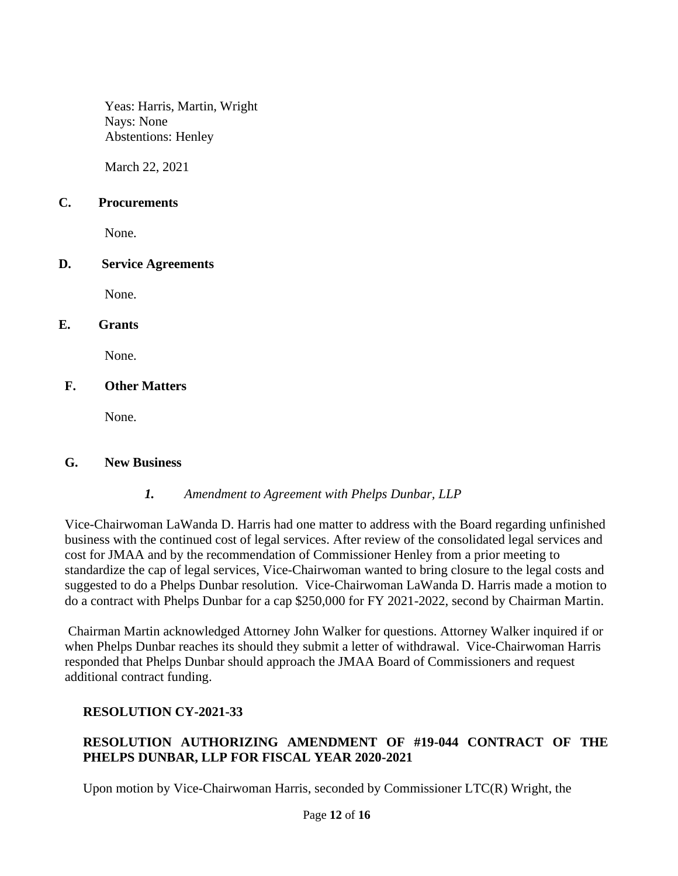Yeas: Harris, Martin, Wright Nays: None Abstentions: Henley

March 22, 2021

#### **C. Procurements**

None.

### **D. Service Agreements**

None.

### **E. Grants**

None.

## **F. Other Matters**

None.

### **G. New Business**

### *1. Amendment to Agreement with Phelps Dunbar, LLP*

Vice-Chairwoman LaWanda D. Harris had one matter to address with the Board regarding unfinished business with the continued cost of legal services. After review of the consolidated legal services and cost for JMAA and by the recommendation of Commissioner Henley from a prior meeting to standardize the cap of legal services, Vice-Chairwoman wanted to bring closure to the legal costs and suggested to do a Phelps Dunbar resolution. Vice-Chairwoman LaWanda D. Harris made a motion to do a contract with Phelps Dunbar for a cap \$250,000 for FY 2021-2022, second by Chairman Martin.

Chairman Martin acknowledged Attorney John Walker for questions. Attorney Walker inquired if or when Phelps Dunbar reaches its should they submit a letter of withdrawal. Vice-Chairwoman Harris responded that Phelps Dunbar should approach the JMAA Board of Commissioners and request additional contract funding.

# **RESOLUTION CY-2021-33**

# **RESOLUTION AUTHORIZING AMENDMENT OF #19-044 CONTRACT OF THE PHELPS DUNBAR, LLP FOR FISCAL YEAR 2020-2021**

Upon motion by Vice-Chairwoman Harris, seconded by Commissioner LTC(R) Wright, the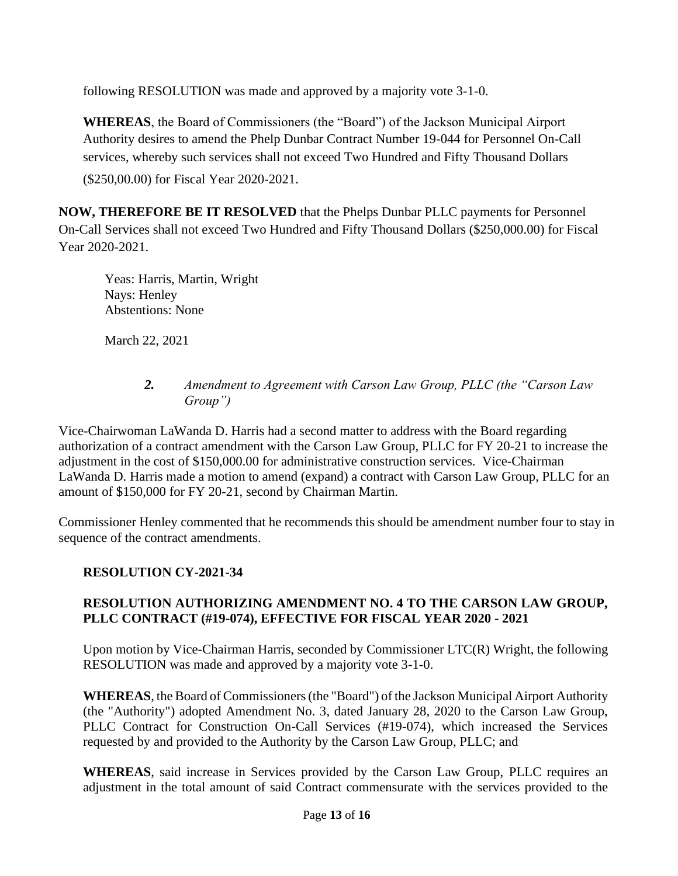following RESOLUTION was made and approved by a majority vote 3-1-0.

**WHEREAS**, the Board of Commissioners (the "Board") of the Jackson Municipal Airport Authority desires to amend the Phelp Dunbar Contract Number 19-044 for Personnel On-Call services, whereby such services shall not exceed Two Hundred and Fifty Thousand Dollars

(\$250,00.00) for Fiscal Year 2020-2021.

**NOW, THEREFORE BE IT RESOLVED** that the Phelps Dunbar PLLC payments for Personnel On-Call Services shall not exceed Two Hundred and Fifty Thousand Dollars (\$250,000.00) for Fiscal Year 2020-2021.

Yeas: Harris, Martin, Wright Nays: Henley Abstentions: None

March 22, 2021

## *2. Amendment to Agreement with Carson Law Group, PLLC (the "Carson Law Group")*

Vice-Chairwoman LaWanda D. Harris had a second matter to address with the Board regarding authorization of a contract amendment with the Carson Law Group, PLLC for FY 20-21 to increase the adjustment in the cost of \$150,000.00 for administrative construction services. Vice-Chairman LaWanda D. Harris made a motion to amend (expand) a contract with Carson Law Group, PLLC for an amount of \$150,000 for FY 20-21, second by Chairman Martin.

Commissioner Henley commented that he recommends this should be amendment number four to stay in sequence of the contract amendments.

# **RESOLUTION CY-2021-34**

# **RESOLUTION AUTHORIZING AMENDMENT NO. 4 TO THE CARSON LAW GROUP, PLLC CONTRACT (#19-074), EFFECTIVE FOR FISCAL YEAR 2020 - 2021**

Upon motion by Vice-Chairman Harris, seconded by Commissioner LTC(R) Wright, the following RESOLUTION was made and approved by a majority vote 3-1-0.

WHEREAS, the Board of Commissioners (the "Board") of the Jackson Municipal Airport Authority (the "Authority") adopted Amendment No. 3, dated January 28, 2020 to the Carson Law Group, PLLC Contract for Construction On-Call Services (#19-074), which increased the Services requested by and provided to the Authority by the Carson Law Group, PLLC; and

**WHEREAS**, said increase in Services provided by the Carson Law Group, PLLC requires an adjustment in the total amount of said Contract commensurate with the services provided to the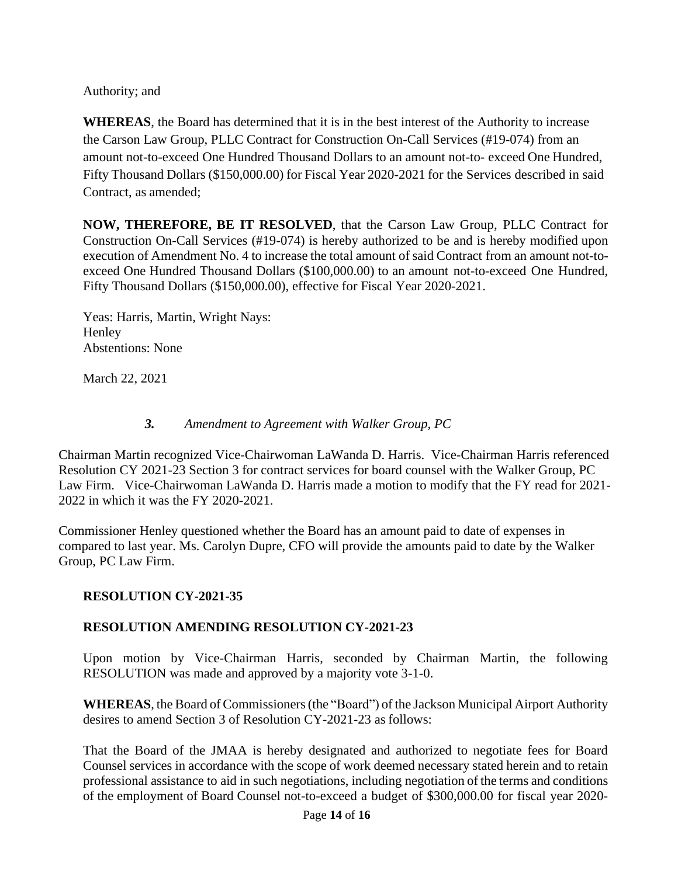Authority; and

**WHEREAS**, the Board has determined that it is in the best interest of the Authority to increase the Carson Law Group, PLLC Contract for Construction On-Call Services (#19-074) from an amount not-to-exceed One Hundred Thousand Dollars to an amount not-to- exceed One Hundred, Fifty Thousand Dollars (\$150,000.00) for Fiscal Year 2020-2021 for the Services described in said Contract, as amended;

**NOW, THEREFORE, BE IT RESOLVED**, that the Carson Law Group, PLLC Contract for Construction On-Call Services (#19-074) is hereby authorized to be and is hereby modified upon execution of Amendment No. 4 to increase the total amount of said Contract from an amount not-toexceed One Hundred Thousand Dollars (\$100,000.00) to an amount not-to-exceed One Hundred, Fifty Thousand Dollars (\$150,000.00), effective for Fiscal Year 2020-2021.

Yeas: Harris, Martin, Wright Nays: **Henley** Abstentions: None

March 22, 2021

### *3. Amendment to Agreement with Walker Group, PC*

Chairman Martin recognized Vice-Chairwoman LaWanda D. Harris. Vice-Chairman Harris referenced Resolution CY 2021-23 Section 3 for contract services for board counsel with the Walker Group, PC Law Firm. Vice-Chairwoman LaWanda D. Harris made a motion to modify that the FY read for 2021- 2022 in which it was the FY 2020-2021.

Commissioner Henley questioned whether the Board has an amount paid to date of expenses in compared to last year. Ms. Carolyn Dupre, CFO will provide the amounts paid to date by the Walker Group, PC Law Firm.

# **RESOLUTION CY-2021-35**

# **RESOLUTION AMENDING RESOLUTION CY-2021-23**

Upon motion by Vice-Chairman Harris, seconded by Chairman Martin, the following RESOLUTION was made and approved by a majority vote 3-1-0.

**WHEREAS**, the Board of Commissioners(the "Board") of the Jackson Municipal Airport Authority desires to amend Section 3 of Resolution CY-2021-23 as follows:

That the Board of the JMAA is hereby designated and authorized to negotiate fees for Board Counsel services in accordance with the scope of work deemed necessary stated herein and to retain professional assistance to aid in such negotiations, including negotiation of the terms and conditions of the employment of Board Counsel not-to-exceed a budget of \$300,000.00 for fiscal year 2020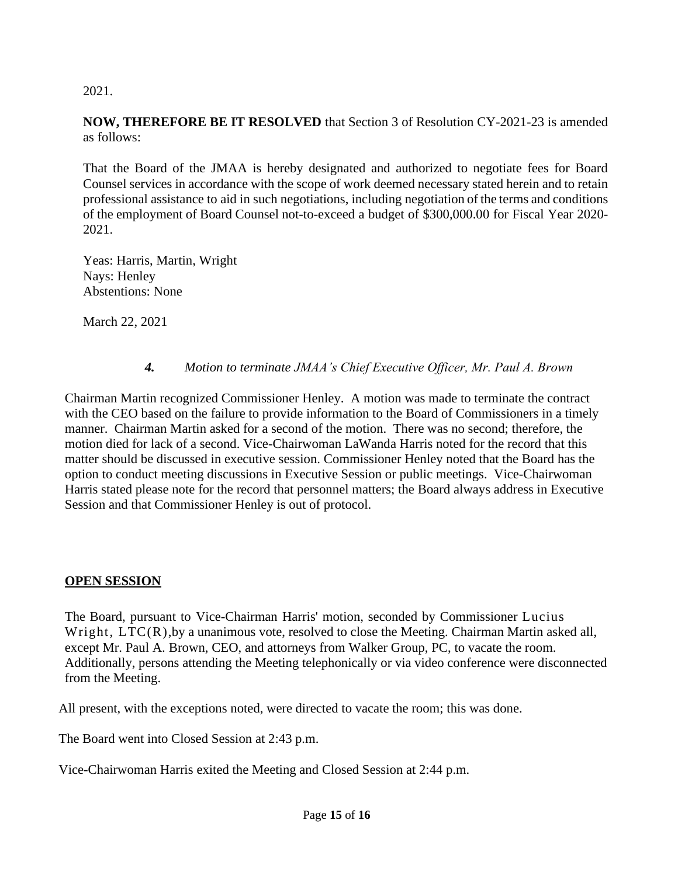2021.

**NOW, THEREFORE BE IT RESOLVED** that Section 3 of Resolution CY-2021-23 is amended as follows:

That the Board of the JMAA is hereby designated and authorized to negotiate fees for Board Counsel services in accordance with the scope of work deemed necessary stated herein and to retain professional assistance to aid in such negotiations, including negotiation of the terms and conditions of the employment of Board Counsel not-to-exceed a budget of \$300,000.00 for Fiscal Year 2020- 2021.

Yeas: Harris, Martin, Wright Nays: Henley Abstentions: None

March 22, 2021

## *4. Motion to terminate JMAA's Chief Executive Officer, Mr. Paul A. Brown*

Chairman Martin recognized Commissioner Henley. A motion was made to terminate the contract with the CEO based on the failure to provide information to the Board of Commissioners in a timely manner. Chairman Martin asked for a second of the motion. There was no second; therefore, the motion died for lack of a second. Vice-Chairwoman LaWanda Harris noted for the record that this matter should be discussed in executive session. Commissioner Henley noted that the Board has the option to conduct meeting discussions in Executive Session or public meetings. Vice-Chairwoman Harris stated please note for the record that personnel matters; the Board always address in Executive Session and that Commissioner Henley is out of protocol.

### **OPEN SESSION**

The Board, pursuant to Vice-Chairman Harris' motion, seconded by Commissioner Lucius Wright,  $LTC(R)$ , by a unanimous vote, resolved to close the Meeting. Chairman Martin asked all, except Mr. Paul A. Brown, CEO, and attorneys from Walker Group, PC, to vacate the room. Additionally, persons attending the Meeting telephonically or via video conference were disconnected from the Meeting.

All present, with the exceptions noted, were directed to vacate the room; this was done.

The Board went into Closed Session at 2:43 p.m.

Vice-Chairwoman Harris exited the Meeting and Closed Session at 2:44 p.m.